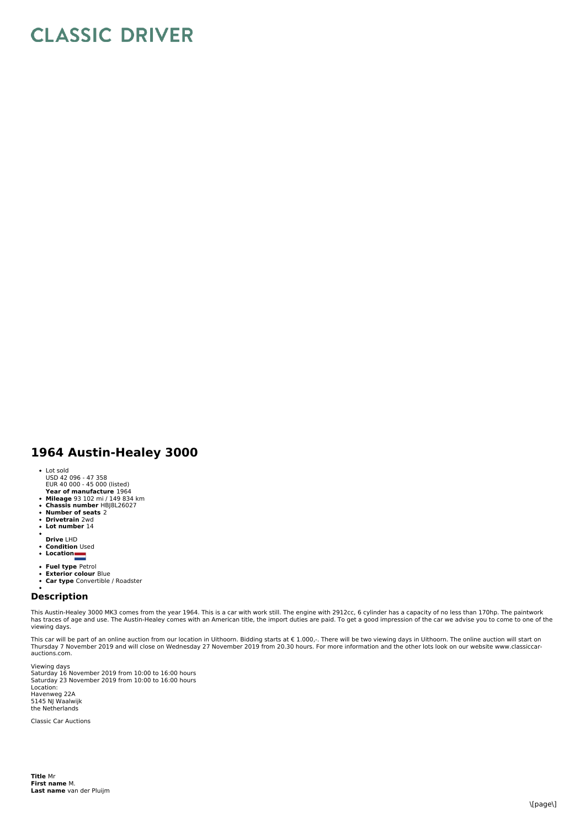## **CLASSIC DRIVER**

## **1964 Austin-Healey 3000**

- Lot sold
- USD 42 096 47 358 EUR 40 000 45 000 (listed)
- **Year of manufacture** 1964
- 
- **Mileage** 93 102 mi / 149 834 km **Chassis number** HBJ8L26027
- **Number of seats** 2
- **Drivetrain** 2wd **Lot number** 14
- 
- 
- **Drive** LHD  $\bullet$ **Condition** Used
- **Location**
- 
- **Fuel type** Petrol **Exterior colour** Blue
- 
- **Car type** Convertible / Roadster

## **Description**

This Austin-Healey 3000 MK3 comes from the year 1964. This is a car with work still. The engine with 2912cc, 6 cylinder has a capacity of no less than 170hp. The paintwork<br>has traces of age and use. The Austin-Healey comes viewing days.

This car will be part of an online auction from our location in Uithoorn. Bidding starts at € 1.000,-. There will be two viewing days in Uithoorn. The online auction will start on<br>Thursday 7 November 2019 and will close o

Viewing days<br>Saturday 16 November 2019 from 10:00 to 16:00 hours Saturday 23 November 2019 from 10:00 to 16:00 hours Location: Havenweg 22A 5145 NJ Waalwijk the Netherlands

Classic Car Auctions